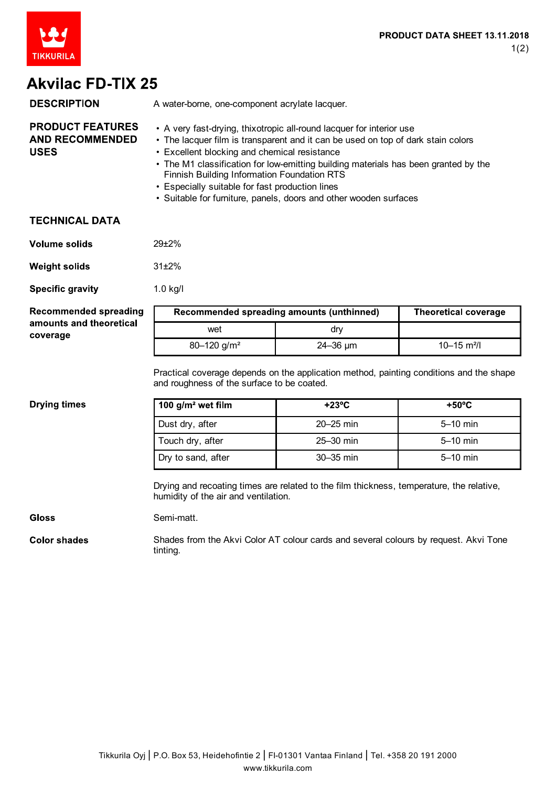

# **Akvilac FD-TIX 25**

| <b>DESCRIPTION</b>                                               | A water-borne, one-component acrylate lacquer.                                                                                                                                                                                                                                                                                                 |
|------------------------------------------------------------------|------------------------------------------------------------------------------------------------------------------------------------------------------------------------------------------------------------------------------------------------------------------------------------------------------------------------------------------------|
| <b>PRODUCT FEATURES</b><br><b>AND RECOMMENDED</b><br><b>USES</b> | • A very fast-drying, thixotropic all-round lacquer for interior use<br>• The lacquer film is transparent and it can be used on top of dark stain colors<br>• Excellent blocking and chemical resistance<br>• The M1 classification for low-emitting building materials has been granted by the<br>Finnish Building Information Foundation RTS |

- Especially suitable for fast production lines
- Suitable for furniture, panels, doors and other wooden surfaces

### **TECHNICAL DATA**

| Volume solids | $29 + 2%$ |
|---------------|-----------|
|---------------|-----------|

**Weight solids** 31±2%

**Specific gravity** 1.0 kg/l

#### **Recommended spreading** amounts and theoretical coverage

| Recommended spreading amounts (unthinned) |                 | <b>Theoretical coverage</b> |
|-------------------------------------------|-----------------|-----------------------------|
| wet                                       | drv             |                             |
| $80 - 120$ g/m <sup>2</sup>               | $24 - 36 \mu m$ | $10 - 15$ m <sup>2</sup> /l |

Practical coverage depends on the application method, painting conditions and the shape and roughness of the surface to be coated.

#### **Drying times**

| 100 $g/m^2$ wet film | $+23^{\circ}$ C | $+50^{\circ}$ C |
|----------------------|-----------------|-----------------|
| Dust dry, after      | $20 - 25$ min   | $5-10$ min      |
| Touch dry, after     | $25-30$ min     | $5-10$ min      |
| Dry to sand, after   | $30-35$ min     | $5-10$ min      |

Drying and recoating times are related to the film thickness, temperature, the relative, humidity of the air and ventilation.

#### **Gloss**

Semi-matt.

**Color shades** Shades from the Akvi Color AT colour cards and several colours by request. Akvi Tone tinting.